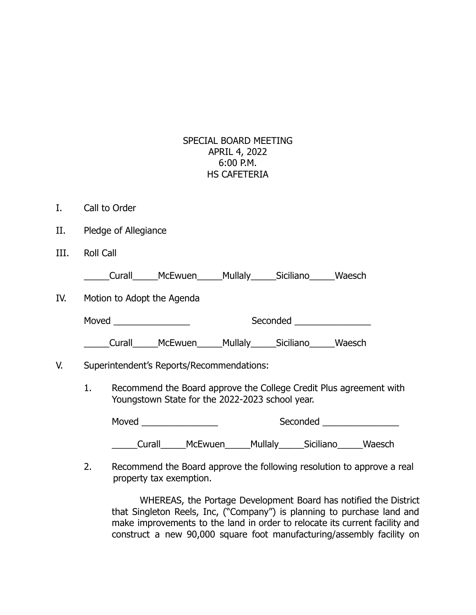## SPECIAL BOARD MEETING APRIL 4, 2022 6:00 P.M. HS CAFETERIA

- I. Call to Order
- II. Pledge of Allegiance
- III. Roll Call

\_\_\_\_\_Curall\_\_\_\_\_McEwuen\_\_\_\_\_Mullaly\_\_\_\_\_Siciliano\_\_\_\_\_Waesch

IV. Motion to Adopt the Agenda

Moved **Example 20** Seconded Seconded Seconded **Seconded** 

\_\_\_\_\_Curall\_\_\_\_\_McEwuen\_\_\_\_\_Mullaly\_\_\_\_\_Siciliano\_\_\_\_\_Waesch

## V. Superintendent's Reports/Recommendations:

1. Recommend the Board approve the College Credit Plus agreement with Youngstown State for the 2022-2023 school year.

| Moved  |                |         | Seconded  |        |  |
|--------|----------------|---------|-----------|--------|--|
| Curall | <b>McEwuen</b> | Mullaly | Siciliano | Waesch |  |

2. Recommend the Board approve the following resolution to approve a real property tax exemption.

WHEREAS, the Portage Development Board has notified the District that Singleton Reels, Inc, ("Company") is planning to purchase land and make improvements to the land in order to relocate its current facility and construct a new 90,000 square foot manufacturing/assembly facility on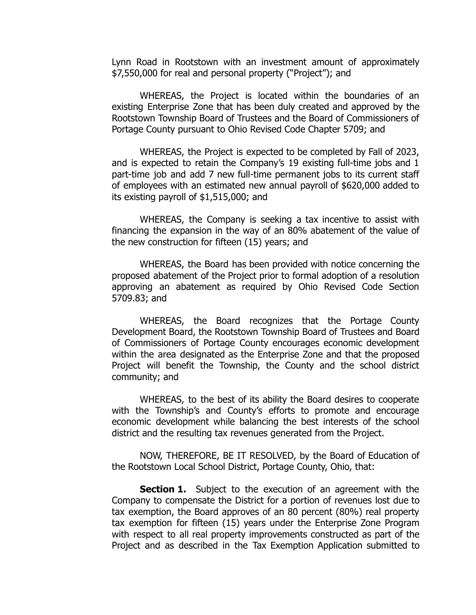Lynn Road in Rootstown with an investment amount of approximately \$7,550,000 for real and personal property ("Project"); and

WHEREAS, the Project is located within the boundaries of an existing Enterprise Zone that has been duly created and approved by the Rootstown Township Board of Trustees and the Board of Commissioners of Portage County pursuant to Ohio Revised Code Chapter 5709; and

WHEREAS, the Project is expected to be completed by Fall of 2023, and is expected to retain the Company's 19 existing full-time jobs and 1 part-time job and add 7 new full-time permanent jobs to its current staff of employees with an estimated new annual payroll of \$620,000 added to its existing payroll of \$1,515,000; and

WHEREAS, the Company is seeking a tax incentive to assist with financing the expansion in the way of an 80% abatement of the value of the new construction for fifteen (15) years; and

WHEREAS, the Board has been provided with notice concerning the proposed abatement of the Project prior to formal adoption of a resolution approving an abatement as required by Ohio Revised Code Section 5709.83; and

WHEREAS, the Board recognizes that the Portage County Development Board, the Rootstown Township Board of Trustees and Board of Commissioners of Portage County encourages economic development within the area designated as the Enterprise Zone and that the proposed Project will benefit the Township, the County and the school district community; and

WHEREAS, to the best of its ability the Board desires to cooperate with the Township's and County's efforts to promote and encourage economic development while balancing the best interests of the school district and the resulting tax revenues generated from the Project.

NOW, THEREFORE, BE IT RESOLVED, by the Board of Education of the Rootstown Local School District, Portage County, Ohio, that:

**Section 1.** Subject to the execution of an agreement with the Company to compensate the District for a portion of revenues lost due to tax exemption, the Board approves of an 80 percent (80%) real property tax exemption for fifteen (15) years under the Enterprise Zone Program with respect to all real property improvements constructed as part of the Project and as described in the Tax Exemption Application submitted to